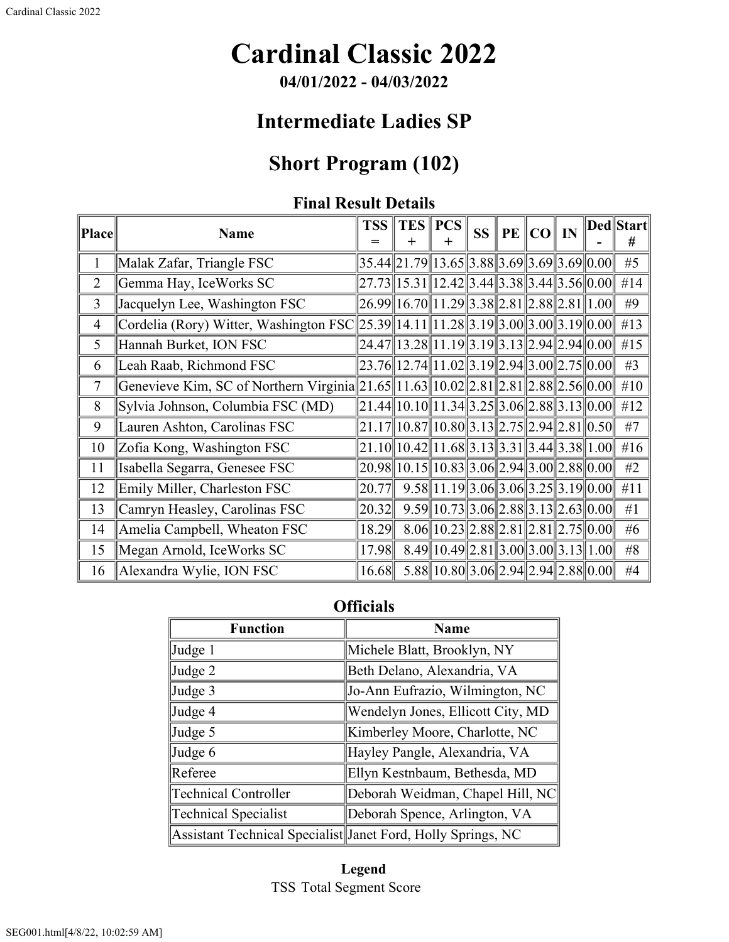# **Cardinal Classic 2022**

**04/01/2022 - 04/03/2022**

## **Intermediate Ladies SP**

## **Short Program (102)**

### **Final Result Details**

| Place          | <b>Name</b>                                                                       | <b>TSS</b> | $\div$                                                                          | TES PCS<br>$^{+}$                             | <b>SS</b> | <b>PE CO IN</b> |  | Ded  Start <br># |
|----------------|-----------------------------------------------------------------------------------|------------|---------------------------------------------------------------------------------|-----------------------------------------------|-----------|-----------------|--|------------------|
| 1              | Malak Zafar, Triangle FSC                                                         |            | $35.44$   21.79  13.65  3.88  3.69  3.69  3.69  0.00                            |                                               |           |                 |  | #5               |
| $\overline{2}$ | Gemma Hay, IceWorks SC                                                            |            | $27.73$   15.31   12.42   3.44   3.38   3.44   3.56   0.00                      |                                               |           |                 |  | #14              |
| 3              | Jacquelyn Lee, Washington FSC                                                     |            | $26.99$   16.70   11.29   3.38   2.81   2.88   2.81   1.00                      |                                               |           |                 |  | #9               |
| $\overline{4}$ | Cordelia (Rory) Witter, Washington FSC                                            |            | $25.39$   14.11  11.28  3.19  3.00  3.00  3.19  0.00                            |                                               |           |                 |  | #13              |
| 5              | Hannah Burket, ION FSC                                                            |            | $24.47$   13.28  11.19  3.19  3.13  2.94  2.94  0.00                            |                                               |           |                 |  | #15              |
| 6              | Leah Raab, Richmond FSC                                                           |            | $23.76$   12.74  11.02  3.19  2.94  3.00  2.75  0.00                            |                                               |           |                 |  | #3               |
| $\tau$         | Genevieve Kim, SC of Northern Virginia 21.65 11.63 10.02 2.81 2.81 2.88 2.56 0.00 |            |                                                                                 |                                               |           |                 |  | #10              |
| 8              | Sylvia Johnson, Columbia FSC (MD)                                                 |            | $21.44$   10.10  11.34  3.25  3.06  2.88  3.13  0.00                            |                                               |           |                 |  | #12              |
| 9              | Lauren Ashton, Carolinas FSC                                                      |            | $21.17$   10.87  10.80  3.13  2.75  2.94  2.81  0.50                            |                                               |           |                 |  | #7               |
| 10             | Zofia Kong, Washington FSC                                                        |            | $21.10$    $10.42$    $11.68$    $3.13$    $3.31$    $3.44$    $3.38$    $1.00$ |                                               |           |                 |  | # $16$           |
| 11             | Isabella Segarra, Genesee FSC                                                     |            | $20.98$   10.15  10.83  3.06  2.94  3.00  2.88  0.00                            |                                               |           |                 |  | #2               |
| 12             | Emily Miller, Charleston FSC                                                      | 20.77      |                                                                                 | $9.58$   11.19  3.06  3.06  3.25  3.19  0.00  |           |                 |  | #11              |
| 13             | Camryn Heasley, Carolinas FSC                                                     | 20.32      |                                                                                 | $9.59$   10.73  3.06  2.88  3.13  2.63  0.00  |           |                 |  | #1               |
| 14             | Amelia Campbell, Wheaton FSC                                                      | 18.29      |                                                                                 | $8.06  10.23  2.88  2.81  2.81  2.75  0.00  $ |           |                 |  | #6               |
| 15             | Megan Arnold, IceWorks SC                                                         | 17.98      |                                                                                 | $8.49$   10.49  2.81  3.00  3.00  3.13  1.00  |           |                 |  | $\#8$            |
| 16             | Alexandra Wylie, ION FSC                                                          | 16.68      |                                                                                 | $5.88$   10.80  3.06  2.94  2.94  2.88  0.00  |           |                 |  | #4               |

### **Officials**

| <b>Function</b>             | <b>Name</b>                                                  |  |  |  |  |  |
|-----------------------------|--------------------------------------------------------------|--|--|--|--|--|
| Judge 1                     | Michele Blatt, Brooklyn, NY                                  |  |  |  |  |  |
| Judge 2                     | Beth Delano, Alexandria, VA                                  |  |  |  |  |  |
| Judge 3                     | Jo-Ann Eufrazio, Wilmington, NC                              |  |  |  |  |  |
| Judge 4                     | Wendelyn Jones, Ellicott City, MD                            |  |  |  |  |  |
| Judge 5                     | Kimberley Moore, Charlotte, NC                               |  |  |  |  |  |
| Judge 6                     | Hayley Pangle, Alexandria, VA                                |  |  |  |  |  |
| Referee                     | Ellyn Kestnbaum, Bethesda, MD                                |  |  |  |  |  |
| <b>Technical Controller</b> | Deborah Weidman, Chapel Hill, NC                             |  |  |  |  |  |
| <b>Technical Specialist</b> | Deborah Spence, Arlington, VA                                |  |  |  |  |  |
|                             | Assistant Technical Specialist Janet Ford, Holly Springs, NC |  |  |  |  |  |

#### **Legend** TSS Total Segment Score